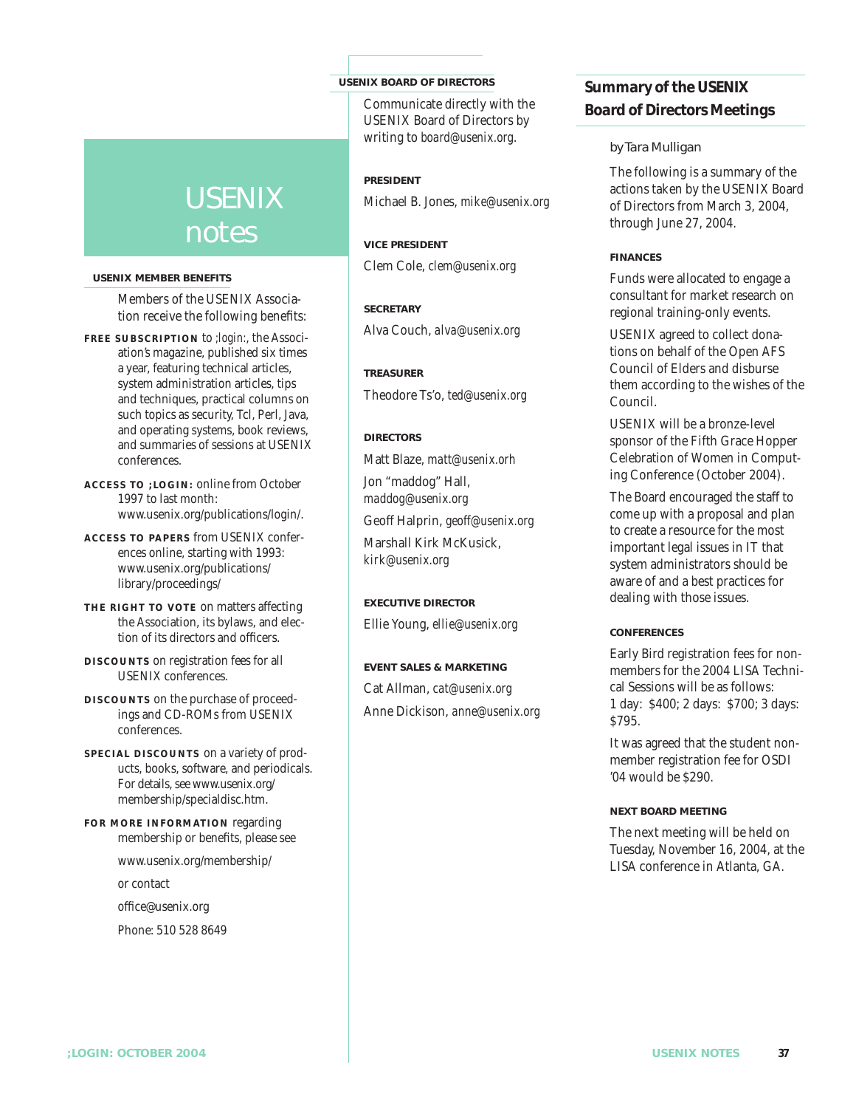# USENIX notes

#### **USENIX MEMBER BENEFITS**

Members of the USENIX Association receive the following benefits:

- **FREE SUBSCRIPTION** to *;login:*, the Association's magazine, published six times a year, featuring technical articles, system administration articles, tips and techniques, practical columns on such topics as security, Tcl, Perl, Java, and operating systems, book reviews, and summaries of sessions at USENIX conferences.
- **A C CESS TO ;LOGIN:** online from October 1997 to last month: www.usenix.org/publications/login/.
- **ACCESS TO PAPERS** from USENIX conferences online, starting with 1993: www.usenix.org/publications/ library/proceedings/
- **THE RIGHT TO VOTE** on matters affecting the Association, its bylaws, and election of its directors and officers.
- **DISC OUNTS** on registration fees for all USENIX conferences.
- **DISCOUNTS** on the purchase of proceedings and CD-ROMs from USENIX conferences.
- **SPECIAL DISCOUNTS** on a variety of products, books, software, and periodicals. For details, see www.usenix.org/ membership/specialdisc.htm.
- **FOR MORE INFORMATION** regarding membership or benefits, please see
	- www.usenix.org/membership/

or contact

office@usenix.org

Phone: 510 528 8649

#### **USENIX BOARD OF DIRECTORS**

Communicate directly with the USENIX Board of Directors by writing to *board@usenix.org*.

**PRESIDENT** Michael B. Jones, *mike@usenix.org*

**VICE PRESIDENT** Clem Cole, *clem@usenix.org*

**SECRETARY**

Alva Couch, *alva@usenix.org*

**TREASURER** Theodore Ts'o, *ted@usenix.org*

**D IRECTORS**

Matt Blaze, *matt@usenix.orh*

Jon "maddog" Hall, *maddog@usenix.org*

Geoff Halprin, *geoff@usenix.org*

Marshall Kirk McKusick, *kirk@usenix.org*

#### **EXECUTIVE DIRECTOR**

Ellie Young, *ellie@usenix.org*

**EVENT SALES & MARKETING** Cat Allman, *cat@usenix.org* Anne Dickison, *anne@usenix.org*

### **Summary of the USENIX Board of Directors Meetings**

#### *by Tara Mulligan*

The following is a summary of the actions taken by the USENIX Board of Directors from March 3, 2004, through June 27, 2004.

#### **F INANCES**

Funds were allocated to engage a consultant for market research on regional training-only events.

USENIX agreed to collect donations on behalf of the Open AFS Council of Elders and disburse them according to the wishes of the Council.

USENIX will be a bronze-level sponsor of the Fifth Grace Hopper Celebration of Women in Computing Conference (October 2004).

The Board encouraged the staff to come up with a proposal and plan to create a resource for the most important legal issues in IT that system administrators should be aware of and a best practices for dealing with those issues.

#### **CONFERENCES**

Early Bird registration fees for nonmembers for the 2004 LISA Technical Sessions will be as follows: 1 day: \$400; 2 days: \$700; 3 days: \$795.

It was agreed that the student nonmember registration fee for OSDI '04 would be \$290.

#### **NEXT BOARD MEETING**

The next meeting will be held on Tuesday, November 16, 2004, at the LISA conference in Atlanta, GA.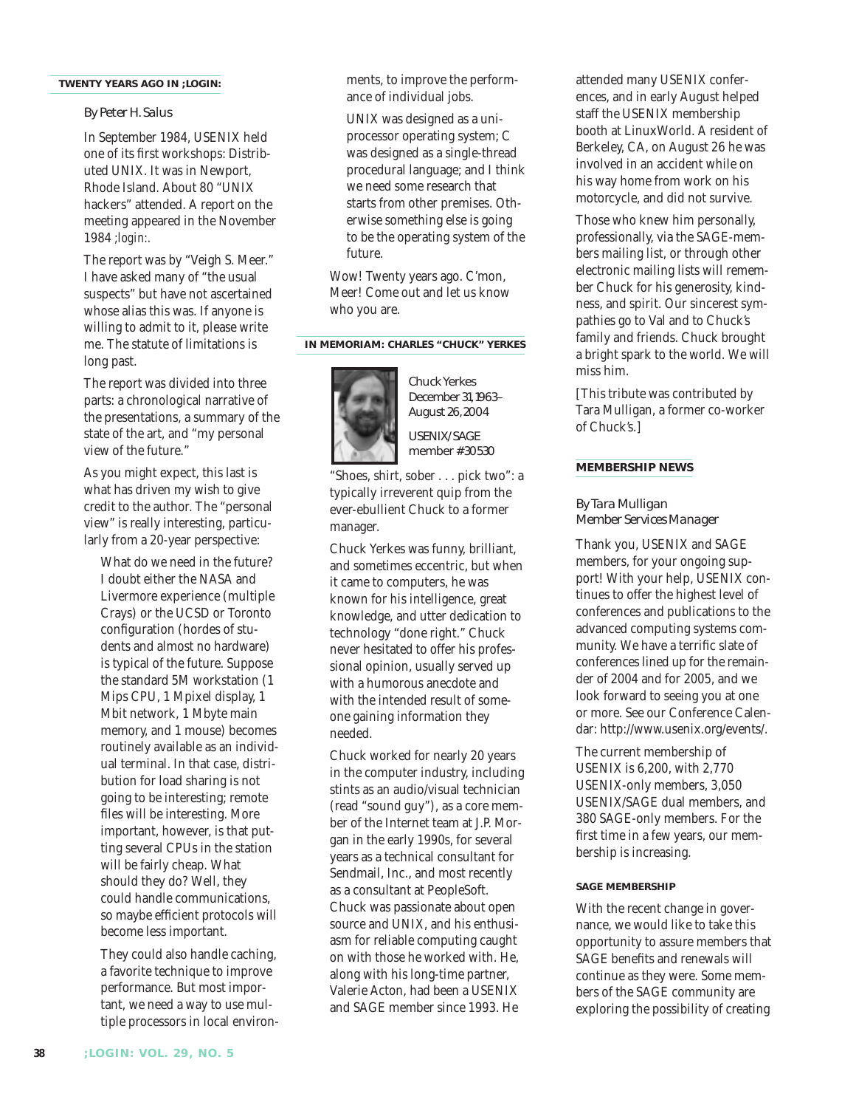#### **TWENTY YEARS AGO IN** *;LOGIN:*

#### *By Peter H. Salus*

In September 1984, USENIX held one of its first workshops: Distributed UNIX. It was in Newport, Rhode Island. About 80 "UNIX hackers" attended. A report on the meeting appeared in the November 1984 *;login:.*

The report was by "Veigh S. Meer." I have asked many of "the usual suspects" but have not ascertained whose alias this was. If anyone is willing to admit to it, please write me. The statute of limitations is long past.

The report was divided into three parts: a chronological narrative of the presentations, a summary of the state of the art, and "my personal view of the future."

As you might expect, this last is what has driven my wish to give credit to the author. The "personal view" is really interesting, particularly from a 20-year perspective:

What do we need in the future? I doubt either the NASA and Livermore experience (multiple Crays) or the UCSD or Toronto configuration (hordes of students and almost no hardware) is typical of the future. Suppose the standard 5M workstation (1 Mips CPU, 1 Mpixel display, 1 Mbit network, 1 Mbyte main memory, and 1 mouse) becomes routinely available as an individual terminal. In that case, distribution for load sharing is not going to be interesting; remote files will be interesting. More important, however, is that putting several CPUs in the station will be fairly cheap. What should they do? Well, they could handle communications, so maybe efficient protocols will become less important.

They could also handle caching, a favorite technique to improve performance. But most important, we need a way to use multiple processors in local environments, to improve the performance of individual jobs.

UNIX was designed as a uniprocessor operating system; C was designed as a single-thread procedural language; and I think we need some research that starts from other premises. Otherwise something else is going to be the operating system of the future.

Wow! Twenty years ago. C'mon, Meer! Come out and let us know who you are.

#### **IN MEMORIAM: CHARLES "CHUCK" YERKES**



December 31,1963– August 26,2004 USENIX/SAGE

member #30530

"Shoes, shirt, sober . . . pick two": a typically irreverent quip from the ever-ebullient Chuck to a former manager.

Chuck Yerkes was funny, brilliant, and sometimes eccentric, but when it came to computers, he was known for his intelligence, great knowledge, and utter dedication to technology "done right." Chuck never hesitated to offer his professional opinion, usually served up with a humorous anecdote and with the intended result of someone gaining information they needed.

Chuck worked for nearly 20 years in the computer industry, including stints as an audio/visual technician (read "sound guy"), as a core member of the Internet team at J.P. Morgan in the early 1990s, for several years as a technical consultant for Sendmail, Inc., and most recently as a consultant at PeopleSoft. Chuck was passionate about open source and UNIX, and his enthusiasm for reliable computing caught on with those he worked with. He, along with his long-time partner, Valerie Acton, had been a USENIX and SAGE member since 1993. He

attended many USENIX conferences, and in early August helped staff the USENIX membership booth at LinuxWorld. A resident of Berkeley, CA, on August 26 he was involved in an accident while on his way home from work on his motorcycle, and did not survive.

Those who knew him personally, professionally, via the SAGE-members mailing list, or through other electronic mailing lists will remember Chuck for his generosity, kindness, and spirit. Our sincerest sympathies go to Val and to Chuck's family and friends. Chuck brought a bright spark to the world. We will miss him.

[This tribute was contributed by Tara Mulligan, a former co-worker of Chuck's.]

#### **MEMBERSHIP NEWS**

*By Tara Mulligan Member Services Manager*

Thank you, USENIX and SAGE members, for your ongoing support! With your help, USENIX continues to offer the highest level of conferences and publications to the advanced computing systems community. We have a terrific slate of conferences lined up for the remainder of 2004 and for 2005, and we look forward to seeing you at one or more. See our Conference Calendar: http://www.usenix.org/events/.

The current membership of USENIX is 6,200, with 2,770 USENIX-only members, 3,050 USENIX/SAGE dual members, and 380 SAGE-only members. For the first time in a few years, our membership is increasing.

#### **SAGE MEMBERSHIP**

With the recent change in governance, we would like to take this opportunity to assure members that SAGE benefits and renewals will continue as they were. Some members of the SAGE community are exploring the possibility of creating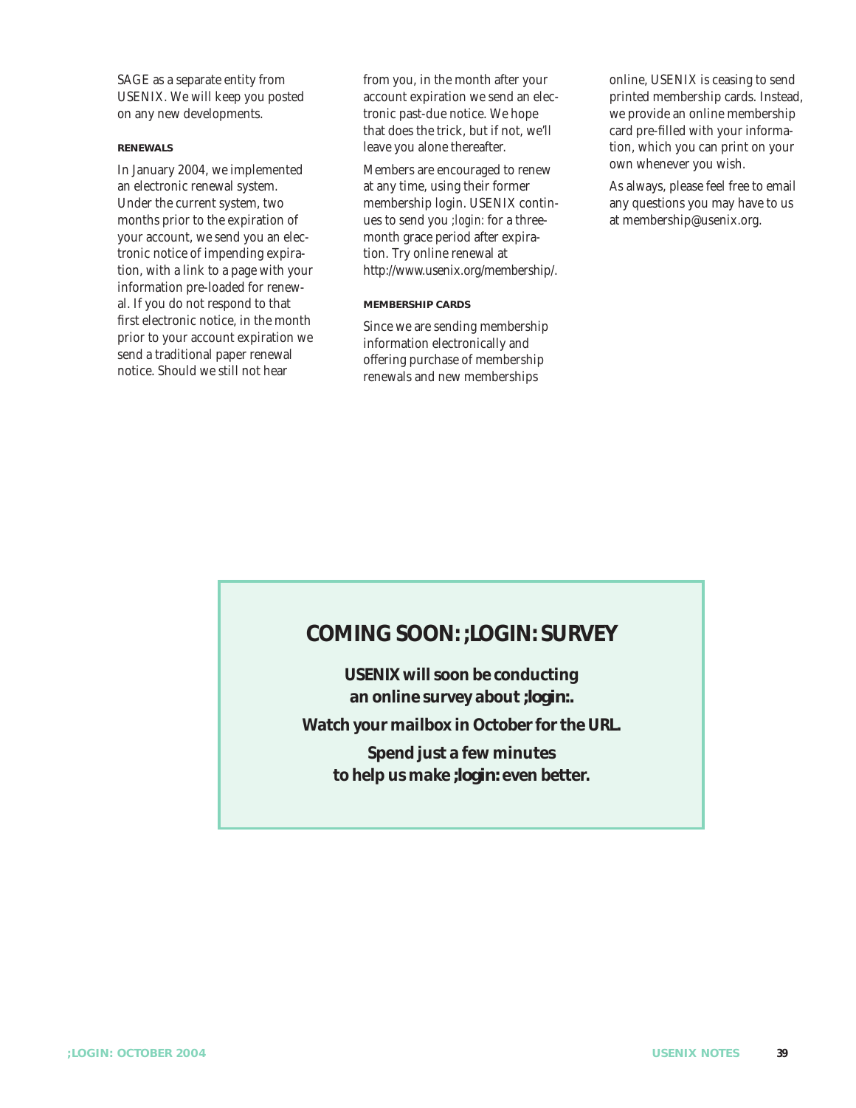SAGE as a separate entity from USENIX. We will keep you posted on any new developments.

#### **RENEWALS**

In January 2004, we implemented an electronic renewal system. Under the current system, two months prior to the expiration of your account, we send you an electronic notice of impending expiration, with a link to a page with your information pre-loaded for renewal. If you do not respond to that first electronic notice, in the month prior to your account expiration we send a traditional paper renewal notice. Should we still not hear

from you, in the month after your account expiration we send an electronic past-due notice. We hope that does the trick, but if not, we'll leave you alone thereafter.

Members are encouraged to renew at any time, using their former membership login. USENIX continues to send you *;login:* for a threemonth grace period after expiration. Try online renewal at http://www.usenix.org/membership/.

#### **MEMBERSHIP CARDS**

Since we are sending membership information electronically and offering purchase of membership renewals and new memberships

online, USENIX is ceasing to send printed membership cards. Instead, we provide an online membership card pre-filled with your information, which you can print on your own whenever you wish.

As always, please feel free to email any questions you may have to us at membership@usenix.org.

### **COMING SOON: ;LOGIN: SURVEY**

**USENIX will soon be conducting an online survey about** *;login:.* **Watch your mailbox in October for the URL. Spend just a few minutes to help us make** *;login:* **even better.**